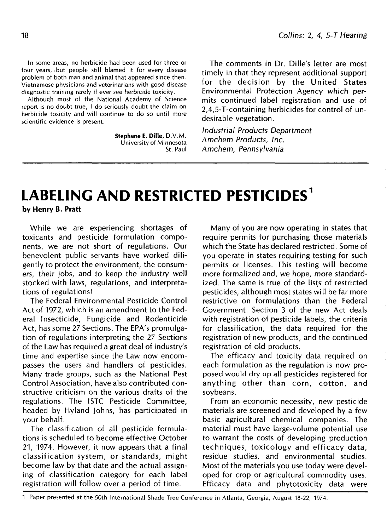In some areas, no herbicide had been used for three or four years, -but people still blamed it for every disease problem of both man and animal that appeared since then. Vietnamese physicians and veterinarians with good disease diagnostic training rarely if ever see herbicide toxicity.

Although most of the National Academy of Science report is no doubt true, I do seriously doubt the claim on herbicide toxicity and will continue to do so until more scientific evidence is present.

> **StepheneE. Dille,** D.V.M University of Minnesota St. Paul

The comments in Dr. Dille's letter are most timely in that they represent additional support for the decision by the United States Environmental Protection Agency which permits continued label registration and use of 2,4,5-T-containing herbicides for control of undesirable vegetation.

Industrial Products Department Amchem Products, Inc. Amchem, Pennsylvania

## **LABELING AND RESTRICTED PESTICIDES<sup>1</sup>**

**by Henry B. Pratt**

While we are experiencing shortages of toxicants and pesticide formulation components, we are not short of regulations. Our benevolent public servants have worked diligently to protect the environment, the consumers, their jobs, and to keep the industry well stocked with laws, regulations, and interpretations of regulations!

The Federal Environmental Pesticide Control Act of 1972, which is an amendment to the Federal Insecticide, Fungicide and Rodenticide Act, has some 27 Sections. The EPA's promulgation of regulations interpreting the 27 Sections of the Law has required a great deal of industry's time and expertise since the Law now encompasses the users and handlers of pesticides. Many trade groups, such as the National Pest Control Association, have also contributed constructive criticism on the various drafts of the regulations. The ISTC Pesticide Committee, headed by Hyland Johns, has participated in your behalf.

The classification of all pesticide formulations is scheduled to become effective October 21, 1974. However, it now appears that a final classification system, or standards, might become law by that date and the actual assigning of classification category for each label registration will follow over a period of time.

Many of you are now operating in states that require permits for purchasing those materials which the State has declared restricted. Some of you operate in states requiring testing for such permits or licenses. This testing will become more formalized and, we hope, more standardized. The same is true of the lists of restricted pesticides, although most states will be far more restrictive on formulations than the Federal Government. Section 3 of the new Act deals with registration of pesticide labels, the criteria for classification, the data required for the registration of new products, and the continued registration of old products.

The efficacy and toxicity data required on each formulation as the regulation is now proposed would dry up all pesticides registered for anything other than corn, cotton, and soybeans.

From an economic necessity, new pesticide materials are screened and developed by a few basic agricultural chemical companies. The material must have large-volume potential use to warrant the costs of developing production techniques, toxicology and efficacy data, residue studies, and environmental studies. Most of the materials you use today were developed for crop or agricultural commodity uses. Efficacy data and phytotoxicity data were

1. Paper presented at the 50th International Shade Tree Conference in Atlanta, Georgia, August 18-22, 1974.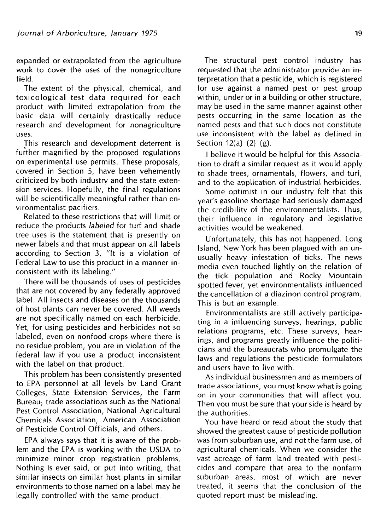expanded or extrapolated from the agriculture work to cover the uses of the nonagriculture field.

The extent of the physical, chemical, and toxicological test data required for each product with limited extrapolation from the basic data will certainly drastically reduce research and development for nonagriculture uses.

This research and development deterrent is further magnified by the proposed regulations on experimental use permits. These proposals, covered in Section 5, have been vehemently criticized by both industry and the state extension services. Hopefully, the final regulations will be scientifically meaningful rather than environmentalist pacifiers.

Related to these restrictions that will limit or reduce the products labeled for turf and shade tree uses is the statement that is presently on newer labels and that must appear on all labels according to Section 3, "It is a violation of Federal Law to use this product in a manner inconsistent with its labeling."

There will be thousands of uses of pesticides that are not covered by any federally approved label. All insects and diseases on the thousands of host plants can never be covered. All weeds are not specifically named on each herbicide. Yet, for using pesticides and herbicides not so labeled, even on nonfood crops where there is no residue problem, you are in violation of the federal law if you use a product inconsistent with the label on that product.

This problem has been consistently presented to EPA personnel at all levels by Land Grant Colleges, State Extension Services, the Farm Bureau, trade associations such as the National Pest Control Association, National Agricultural Chemicals Association, American Association of Pesticide Control Officials, and others.

EPA always says that it is aware of the problem and the EPA is working with the USDA to minimize minor crop registration problems. Nothing is ever said, or put into writing, that similar insects on similar host plants in similar environments to those named on a label may be legally controlled with the same product.

The structural pest control industry has requested that the administrator provide an interpretation that a pesticide, which is registered for use against a named pest or pest group within, under or in a building or other structure, may be used in the same manner against other pests occurring in the same location as the named pests and that such does not constitute use inconsistent with the label as defined in Section 12(a) (2) (g).

I believe it would be helpful for this Association to draft a similar request as it would apply to shade trees, ornamentals, flowers, and turf, and to the application of industrial herbicides.

Some optimist in our industry felt that this year's gasoline shortage had seriously damaged the credibility of the environmentalists. Thus, their influence in regulatory and legislative activities would be weakened.

Unfortunately, this has not happened. Long Island, New York has been plagued with an unusually heavy infestation of ticks. The news media even touched lightly on the relation of the tick population and Rocky Mountain spotted fever, yet environmentalists influenced the cancellation of a diazinon control program. This is but an example.

Environmentalists are still actively participating in a influencing surveys, hearings, public relations programs, etc. These surveys, hearings, and programs greatly influence the politicians and the bureaucrats who promulgate the laws and regulations the pesticide formulators and users have to live with.

As individual businessmen and as members of trade associations, you must know what is going on in your communities that will affect you. Then you must be sure that your side is heard by the authorities.

You have heard or read about the study that showed the greatest cause of pesticide pollution was from suburban use, and not the farm use, of agricultural chemicals. When we consider the vast acreage of farm land treated with pesticides and compare that area to the nonfarm suburban areas, most of which are never treated, it seems that the conclusion of the quoted report must be misleading.